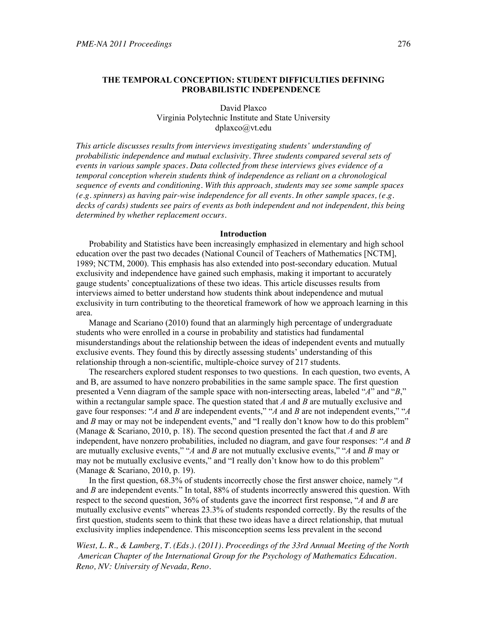# **THE TEMPORAL CONCEPTION: STUDENT DIFFICULTIES DEFINING PROBABILISTIC INDEPENDENCE**

David Plaxco Virginia Polytechnic Institute and State University dplaxco@vt.edu

*This article discusses results from interviews investigating students' understanding of probabilistic independence and mutual exclusivity. Three students compared several sets of events in various sample spaces. Data collected from these interviews gives evidence of a temporal conception wherein students think of independence as reliant on a chronological sequence of events and conditioning. With this approach, students may see some sample spaces (e.g. spinners) as having pair-wise independence for all events. In other sample spaces, (e.g. decks of cards) students see pairs of events as both independent and not independent, this being determined by whether replacement occurs.* 

#### **Introduction**

Probability and Statistics have been increasingly emphasized in elementary and high school education over the past two decades (National Council of Teachers of Mathematics [NCTM], 1989; NCTM, 2000). This emphasis has also extended into post-secondary education. Mutual exclusivity and independence have gained such emphasis, making it important to accurately gauge students' conceptualizations of these two ideas. This article discusses results from interviews aimed to better understand how students think about independence and mutual exclusivity in turn contributing to the theoretical framework of how we approach learning in this area.

Manage and Scariano (2010) found that an alarmingly high percentage of undergraduate students who were enrolled in a course in probability and statistics had fundamental misunderstandings about the relationship between the ideas of independent events and mutually exclusive events. They found this by directly assessing students' understanding of this relationship through a non-scientific, multiple-choice survey of 217 students.

The researchers explored student responses to two questions. In each question, two events, A and B, are assumed to have nonzero probabilities in the same sample space. The first question presented a Venn diagram of the sample space with non-intersecting areas, labeled "*A*" and "*B*," within a rectangular sample space. The question stated that *A* and *B* are mutually exclusive and gave four responses: "*A* and *B* are independent events," "*A* and *B* are not independent events," "*A* and *B* may or may not be independent events," and "I really don't know how to do this problem" (Manage & Scariano, 2010, p. 18). The second question presented the fact that *A* and *B* are independent, have nonzero probabilities, included no diagram, and gave four responses: "*A* and *B* are mutually exclusive events," "*A* and *B* are not mutually exclusive events," "*A* and *B* may or may not be mutually exclusive events," and "I really don't know how to do this problem" (Manage & Scariano, 2010, p. 19).

In the first question, 68.3% of students incorrectly chose the first answer choice, namely "*A* and *B* are independent events." In total, 88% of students incorrectly answered this question. With respect to the second question, 36% of students gave the incorrect first response, "*A* and *B* are mutually exclusive events" whereas 23.3% of students responded correctly. By the results of the first question, students seem to think that these two ideas have a direct relationship, that mutual exclusivity implies independence. This misconception seems less prevalent in the second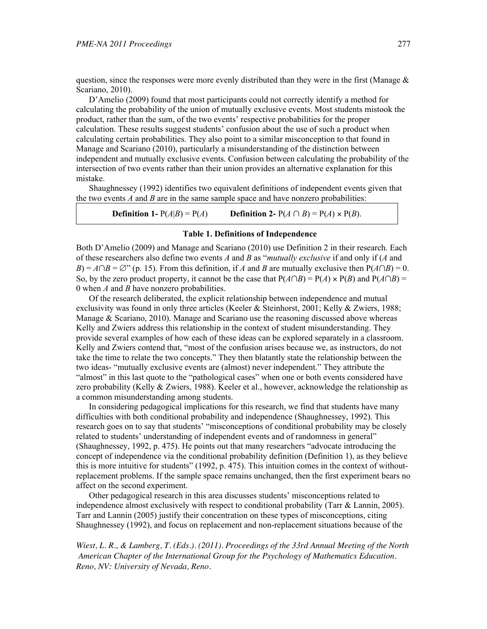question, since the responses were more evenly distributed than they were in the first (Manage  $\&$ Scariano, 2010).

D'Amelio (2009) found that most participants could not correctly identify a method for calculating the probability of the union of mutually exclusive events. Most students mistook the product, rather than the sum, of the two events' respective probabilities for the proper calculation. These results suggest students' confusion about the use of such a product when calculating certain probabilities. They also point to a similar misconception to that found in Manage and Scariano (2010), particularly a misunderstanding of the distinction between independent and mutually exclusive events. Confusion between calculating the probability of the intersection of two events rather than their union provides an alternative explanation for this mistake.

Shaughnessey (1992) identifies two equivalent definitions of independent events given that the two events *A* and *B* are in the same sample space and have nonzero probabilities:

**Definition 1-**  $P(A|B) = P(A)$  **Definition 2-**  $P(A \cap B) = P(A) \times P(B)$ .

### **Table 1. Definitions of Independence**

Both D'Amelio (2009) and Manage and Scariano (2010) use Definition 2 in their research. Each of these researchers also define two events *A* and *B* as "*mutually exclusive* if and only if (*A* and  $B$ ) =  $A \cap B = \emptyset$ " (p. 15). From this definition, if *A* and *B* are mutually exclusive then  $P(A \cap B) = 0$ . So, by the zero product property, it cannot be the case that  $P(A \cap B) = P(A) \times P(B)$  and  $P(A \cap B) =$ 0 when *A* and *B* have nonzero probabilities.

Of the research deliberated, the explicit relationship between independence and mutual exclusivity was found in only three articles (Keeler & Steinhorst, 2001; Kelly & Zwiers, 1988; Manage & Scariano, 2010). Manage and Scariano use the reasoning discussed above whereas Kelly and Zwiers address this relationship in the context of student misunderstanding. They provide several examples of how each of these ideas can be explored separately in a classroom. Kelly and Zwiers contend that, "most of the confusion arises because we, as instructors, do not take the time to relate the two concepts." They then blatantly state the relationship between the two ideas- "mutually exclusive events are (almost) never independent." They attribute the "almost" in this last quote to the "pathological cases" when one or both events considered have zero probability (Kelly & Zwiers, 1988). Keeler et al., however, acknowledge the relationship as a common misunderstanding among students.

In considering pedagogical implications for this research, we find that students have many difficulties with both conditional probability and independence (Shaughnessey, 1992). This research goes on to say that students' "misconceptions of conditional probability may be closely related to students' understanding of independent events and of randomness in general" (Shaughnessey, 1992, p. 475). He points out that many researchers "advocate introducing the concept of independence via the conditional probability definition (Definition 1), as they believe this is more intuitive for students" (1992, p. 475). This intuition comes in the context of withoutreplacement problems. If the sample space remains unchanged, then the first experiment bears no affect on the second experiment.

Other pedagogical research in this area discusses students' misconceptions related to independence almost exclusively with respect to conditional probability (Tarr & Lannin, 2005). Tarr and Lannin (2005) justify their concentration on these types of misconceptions, citing Shaughnessey (1992), and focus on replacement and non-replacement situations because of the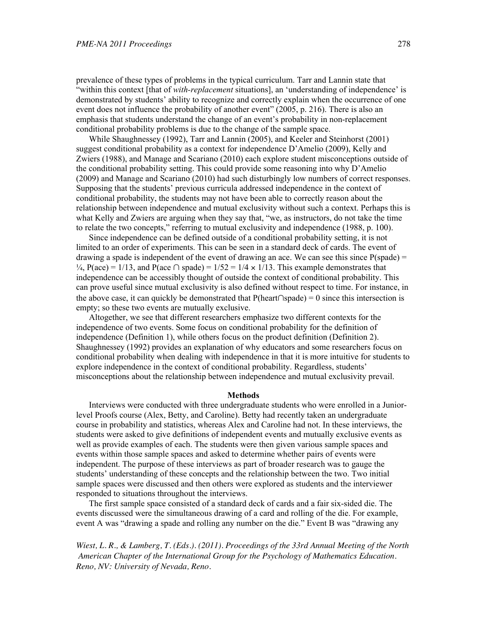prevalence of these types of problems in the typical curriculum. Tarr and Lannin state that "within this context [that of *with-replacement* situations], an 'understanding of independence' is demonstrated by students' ability to recognize and correctly explain when the occurrence of one event does not influence the probability of another event" (2005, p. 216). There is also an emphasis that students understand the change of an event's probability in non-replacement conditional probability problems is due to the change of the sample space.

While Shaughnessey (1992), Tarr and Lannin (2005), and Keeler and Steinhorst (2001) suggest conditional probability as a context for independence D'Amelio (2009), Kelly and Zwiers (1988), and Manage and Scariano (2010) each explore student misconceptions outside of the conditional probability setting. This could provide some reasoning into why D'Amelio (2009) and Manage and Scariano (2010) had such disturbingly low numbers of correct responses. Supposing that the students' previous curricula addressed independence in the context of conditional probability, the students may not have been able to correctly reason about the relationship between independence and mutual exclusivity without such a context. Perhaps this is what Kelly and Zwiers are arguing when they say that, "we, as instructors, do not take the time to relate the two concepts," referring to mutual exclusivity and independence (1988, p. 100).

Since independence can be defined outside of a conditional probability setting, it is not limited to an order of experiments. This can be seen in a standard deck of cards. The event of drawing a spade is independent of the event of drawing an ace. We can see this since  $P$ (spade) =  $\frac{1}{4}$ , P(ace) = 1/13, and P(ace  $\cap$  spade) = 1/52 = 1/4  $\times$  1/13. This example demonstrates that independence can be accessibly thought of outside the context of conditional probability. This can prove useful since mutual exclusivity is also defined without respect to time. For instance, in the above case, it can quickly be demonstrated that  $P(\text{heart}\cap \text{spade}) = 0$  since this intersection is empty; so these two events are mutually exclusive.

Altogether, we see that different researchers emphasize two different contexts for the independence of two events. Some focus on conditional probability for the definition of independence (Definition 1), while others focus on the product definition (Definition 2). Shaughnessey (1992) provides an explanation of why educators and some researchers focus on conditional probability when dealing with independence in that it is more intuitive for students to explore independence in the context of conditional probability. Regardless, students' misconceptions about the relationship between independence and mutual exclusivity prevail.

### **Methods**

Interviews were conducted with three undergraduate students who were enrolled in a Juniorlevel Proofs course (Alex, Betty, and Caroline). Betty had recently taken an undergraduate course in probability and statistics, whereas Alex and Caroline had not. In these interviews, the students were asked to give definitions of independent events and mutually exclusive events as well as provide examples of each. The students were then given various sample spaces and events within those sample spaces and asked to determine whether pairs of events were independent. The purpose of these interviews as part of broader research was to gauge the students' understanding of these concepts and the relationship between the two. Two initial sample spaces were discussed and then others were explored as students and the interviewer responded to situations throughout the interviews.

The first sample space consisted of a standard deck of cards and a fair six-sided die. The events discussed were the simultaneous drawing of a card and rolling of the die. For example, event A was "drawing a spade and rolling any number on the die." Event B was "drawing any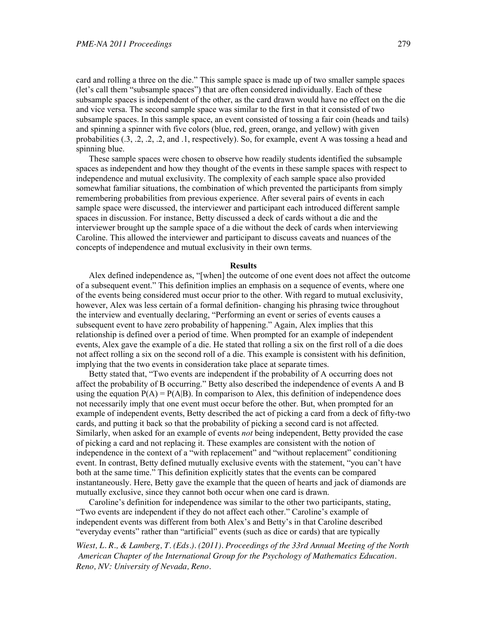card and rolling a three on the die." This sample space is made up of two smaller sample spaces (let's call them "subsample spaces") that are often considered individually. Each of these subsample spaces is independent of the other, as the card drawn would have no effect on the die and vice versa. The second sample space was similar to the first in that it consisted of two subsample spaces. In this sample space, an event consisted of tossing a fair coin (heads and tails) and spinning a spinner with five colors (blue, red, green, orange, and yellow) with given probabilities (.3, .2, .2, .2, and .1, respectively). So, for example, event A was tossing a head and spinning blue.

These sample spaces were chosen to observe how readily students identified the subsample spaces as independent and how they thought of the events in these sample spaces with respect to independence and mutual exclusivity. The complexity of each sample space also provided somewhat familiar situations, the combination of which prevented the participants from simply remembering probabilities from previous experience. After several pairs of events in each sample space were discussed, the interviewer and participant each introduced different sample spaces in discussion. For instance, Betty discussed a deck of cards without a die and the interviewer brought up the sample space of a die without the deck of cards when interviewing Caroline. This allowed the interviewer and participant to discuss caveats and nuances of the concepts of independence and mutual exclusivity in their own terms.

#### **Results**

Alex defined independence as, "[when] the outcome of one event does not affect the outcome of a subsequent event." This definition implies an emphasis on a sequence of events, where one of the events being considered must occur prior to the other. With regard to mutual exclusivity, however, Alex was less certain of a formal definition- changing his phrasing twice throughout the interview and eventually declaring, "Performing an event or series of events causes a subsequent event to have zero probability of happening." Again, Alex implies that this relationship is defined over a period of time. When prompted for an example of independent events, Alex gave the example of a die. He stated that rolling a six on the first roll of a die does not affect rolling a six on the second roll of a die. This example is consistent with his definition, implying that the two events in consideration take place at separate times.

Betty stated that, "Two events are independent if the probability of A occurring does not affect the probability of B occurring." Betty also described the independence of events A and B using the equation  $P(A) = P(A|B)$ . In comparison to Alex, this definition of independence does not necessarily imply that one event must occur before the other. But, when prompted for an example of independent events, Betty described the act of picking a card from a deck of fifty-two cards, and putting it back so that the probability of picking a second card is not affected. Similarly, when asked for an example of events *not* being independent, Betty provided the case of picking a card and not replacing it. These examples are consistent with the notion of independence in the context of a "with replacement" and "without replacement" conditioning event. In contrast, Betty defined mutually exclusive events with the statement, "you can't have both at the same time." This definition explicitly states that the events can be compared instantaneously. Here, Betty gave the example that the queen of hearts and jack of diamonds are mutually exclusive, since they cannot both occur when one card is drawn.

Caroline's definition for independence was similar to the other two participants, stating, "Two events are independent if they do not affect each other." Caroline's example of independent events was different from both Alex's and Betty's in that Caroline described "everyday events" rather than "artificial" events (such as dice or cards) that are typically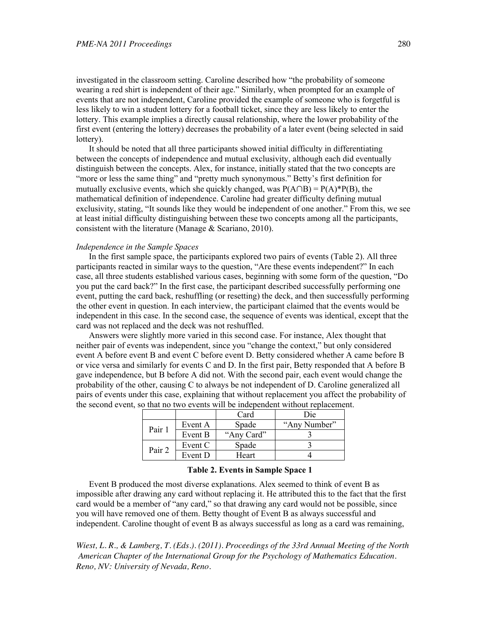investigated in the classroom setting. Caroline described how "the probability of someone wearing a red shirt is independent of their age." Similarly, when prompted for an example of events that are not independent, Caroline provided the example of someone who is forgetful is less likely to win a student lottery for a football ticket, since they are less likely to enter the lottery. This example implies a directly causal relationship, where the lower probability of the first event (entering the lottery) decreases the probability of a later event (being selected in said lottery).

It should be noted that all three participants showed initial difficulty in differentiating between the concepts of independence and mutual exclusivity, although each did eventually distinguish between the concepts. Alex, for instance, initially stated that the two concepts are "more or less the same thing" and "pretty much synonymous." Betty's first definition for mutually exclusive events, which she quickly changed, was  $P(A \cap B) = P(A)*P(B)$ , the mathematical definition of independence. Caroline had greater difficulty defining mutual exclusivity, stating, "It sounds like they would be independent of one another." From this, we see at least initial difficulty distinguishing between these two concepts among all the participants, consistent with the literature (Manage & Scariano, 2010).

## *Independence in the Sample Spaces*

In the first sample space, the participants explored two pairs of events (Table 2). All three participants reacted in similar ways to the question, "Are these events independent?" In each case, all three students established various cases, beginning with some form of the question, "Do you put the card back?" In the first case, the participant described successfully performing one event, putting the card back, reshuffling (or resetting) the deck, and then successfully performing the other event in question. In each interview, the participant claimed that the events would be independent in this case. In the second case, the sequence of events was identical, except that the card was not replaced and the deck was not reshuffled.

Answers were slightly more varied in this second case. For instance, Alex thought that neither pair of events was independent, since you "change the context," but only considered event A before event B and event C before event D. Betty considered whether A came before B or vice versa and similarly for events C and D. In the first pair, Betty responded that A before B gave independence, but B before A did not. With the second pair, each event would change the probability of the other, causing C to always be not independent of D. Caroline generalized all pairs of events under this case, explaining that without replacement you affect the probability of the second event, so that no two events will be independent without replacement.

|        |         | Card       | Die          |
|--------|---------|------------|--------------|
| Pair 1 | Event A | Spade      | "Any Number" |
|        | Event B | "Any Card" |              |
| Pair 2 | Event C | Spade      |              |
|        | Event D | Heart      |              |

### **Table 2. Events in Sample Space 1**

Event B produced the most diverse explanations. Alex seemed to think of event B as impossible after drawing any card without replacing it. He attributed this to the fact that the first card would be a member of "any card," so that drawing any card would not be possible, since you will have removed one of them. Betty thought of Event B as always successful and independent. Caroline thought of event B as always successful as long as a card was remaining,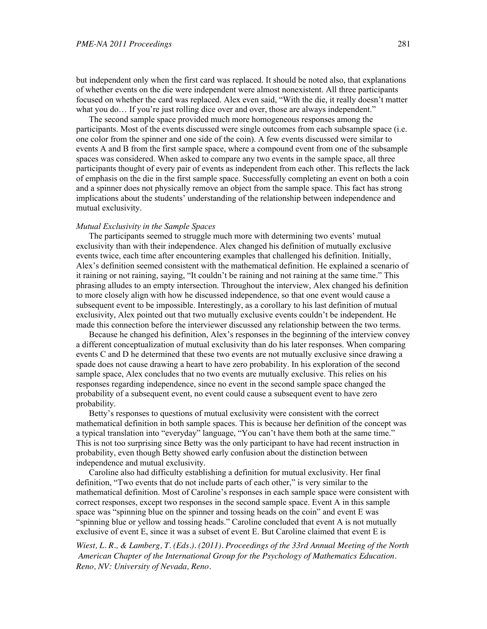but independent only when the first card was replaced. It should be noted also, that explanations of whether events on the die were independent were almost nonexistent. All three participants focused on whether the card was replaced. Alex even said, "With the die, it really doesn't matter what you do... If you're just rolling dice over and over, those are always independent."

The second sample space provided much more homogeneous responses among the participants. Most of the events discussed were single outcomes from each subsample space (i.e. one color from the spinner and one side of the coin). A few events discussed were similar to events A and B from the first sample space, where a compound event from one of the subsample spaces was considered. When asked to compare any two events in the sample space, all three participants thought of every pair of events as independent from each other. This reflects the lack of emphasis on the die in the first sample space. Successfully completing an event on both a coin and a spinner does not physically remove an object from the sample space. This fact has strong implications about the students' understanding of the relationship between independence and mutual exclusivity.

#### *Mutual Exclusivity in the Sample Spaces*

The participants seemed to struggle much more with determining two events' mutual exclusivity than with their independence. Alex changed his definition of mutually exclusive events twice, each time after encountering examples that challenged his definition. Initially, Alex's definition seemed consistent with the mathematical definition. He explained a scenario of it raining or not raining, saying, "It couldn't be raining and not raining at the same time." This phrasing alludes to an empty intersection. Throughout the interview, Alex changed his definition to more closely align with how he discussed independence, so that one event would cause a subsequent event to be impossible. Interestingly, as a corollary to his last definition of mutual exclusivity, Alex pointed out that two mutually exclusive events couldn't be independent. He made this connection before the interviewer discussed any relationship between the two terms.

Because he changed his definition, Alex's responses in the beginning of the interview convey a different conceptualization of mutual exclusivity than do his later responses. When comparing events C and D he determined that these two events are not mutually exclusive since drawing a spade does not cause drawing a heart to have zero probability. In his exploration of the second sample space, Alex concludes that no two events are mutually exclusive. This relies on his responses regarding independence, since no event in the second sample space changed the probability of a subsequent event, no event could cause a subsequent event to have zero probability.

Betty's responses to questions of mutual exclusivity were consistent with the correct mathematical definition in both sample spaces. This is because her definition of the concept was a typical translation into "everyday" language, "You can't have them both at the same time." This is not too surprising since Betty was the only participant to have had recent instruction in probability, even though Betty showed early confusion about the distinction between independence and mutual exclusivity.

Caroline also had difficulty establishing a definition for mutual exclusivity. Her final definition, "Two events that do not include parts of each other," is very similar to the mathematical definition. Most of Caroline's responses in each sample space were consistent with correct responses, except two responses in the second sample space. Event A in this sample space was "spinning blue on the spinner and tossing heads on the coin" and event E was "spinning blue or yellow and tossing heads." Caroline concluded that event A is not mutually exclusive of event E, since it was a subset of event E. But Caroline claimed that event E is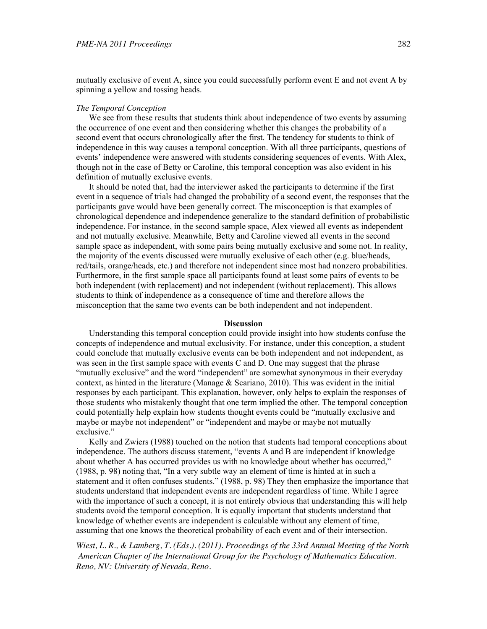mutually exclusive of event A, since you could successfully perform event E and not event A by spinning a yellow and tossing heads.

#### *The Temporal Conception*

We see from these results that students think about independence of two events by assuming the occurrence of one event and then considering whether this changes the probability of a second event that occurs chronologically after the first. The tendency for students to think of independence in this way causes a temporal conception. With all three participants, questions of events' independence were answered with students considering sequences of events. With Alex, though not in the case of Betty or Caroline, this temporal conception was also evident in his definition of mutually exclusive events.

It should be noted that, had the interviewer asked the participants to determine if the first event in a sequence of trials had changed the probability of a second event, the responses that the participants gave would have been generally correct. The misconception is that examples of chronological dependence and independence generalize to the standard definition of probabilistic independence. For instance, in the second sample space, Alex viewed all events as independent and not mutually exclusive. Meanwhile, Betty and Caroline viewed all events in the second sample space as independent, with some pairs being mutually exclusive and some not. In reality, the majority of the events discussed were mutually exclusive of each other (e.g. blue/heads, red/tails, orange/heads, etc.) and therefore not independent since most had nonzero probabilities. Furthermore, in the first sample space all participants found at least some pairs of events to be both independent (with replacement) and not independent (without replacement). This allows students to think of independence as a consequence of time and therefore allows the misconception that the same two events can be both independent and not independent.

#### **Discussion**

Understanding this temporal conception could provide insight into how students confuse the concepts of independence and mutual exclusivity. For instance, under this conception, a student could conclude that mutually exclusive events can be both independent and not independent, as was seen in the first sample space with events C and D. One may suggest that the phrase "mutually exclusive" and the word "independent" are somewhat synonymous in their everyday context, as hinted in the literature (Manage  $\&$  Scariano, 2010). This was evident in the initial responses by each participant. This explanation, however, only helps to explain the responses of those students who mistakenly thought that one term implied the other. The temporal conception could potentially help explain how students thought events could be "mutually exclusive and maybe or maybe not independent" or "independent and maybe or maybe not mutually exclusive."

Kelly and Zwiers (1988) touched on the notion that students had temporal conceptions about independence. The authors discuss statement, "events A and B are independent if knowledge about whether A has occurred provides us with no knowledge about whether has occurred," (1988, p. 98) noting that, "In a very subtle way an element of time is hinted at in such a statement and it often confuses students." (1988, p. 98) They then emphasize the importance that students understand that independent events are independent regardless of time. While I agree with the importance of such a concept, it is not entirely obvious that understanding this will help students avoid the temporal conception. It is equally important that students understand that knowledge of whether events are independent is calculable without any element of time, assuming that one knows the theoretical probability of each event and of their intersection.